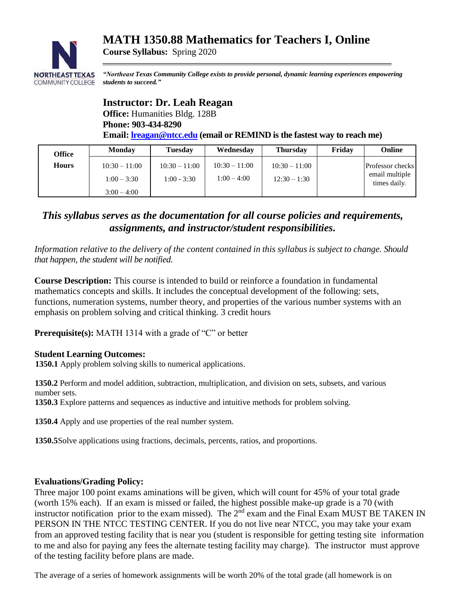# **MATH 1350.88 Mathematics for Teachers I, Online**



*"Northeast Texas Community College exists to provide personal, dynamic learning experiences empowering students to succeed."*

### **Instructor: Dr. Leah Reagan**

**Office:** Humanities Bldg. 128B **Phone: 903-434-8290**

**Course Syllabus:** Spring 2020

**Email: [lreagan@ntcc.edu](mailto:lreagan@ntcc.edu) (email or REMIND is the fastest way to reach me)**

| <b>Office</b> | <b>Monday</b>                                     | <b>Tuesday</b>                   | Wednesday                        | <b>Thursday</b>                   | Friday | Online                                                    |
|---------------|---------------------------------------------------|----------------------------------|----------------------------------|-----------------------------------|--------|-----------------------------------------------------------|
| <b>Hours</b>  | $10:30 - 11:00$<br>$1:00 - 3:30$<br>$3:00 - 4:00$ | $10:30 - 11:00$<br>$1:00 - 3:30$ | $10:30 - 11:00$<br>$1:00 - 4:00$ | $10:30 - 11:00$<br>$12:30 - 1:30$ |        | <b>Professor</b> checks<br>email multiple<br>times daily. |

## *This syllabus serves as the documentation for all course policies and requirements, assignments, and instructor/student responsibilities.*

*Information relative to the delivery of the content contained in this syllabus is subject to change. Should that happen, the student will be notified.*

**Course Description:** This course is intended to build or reinforce a foundation in fundamental mathematics concepts and skills. It includes the conceptual development of the following: sets, functions, numeration systems, number theory, and properties of the various number systems with an emphasis on problem solving and critical thinking. 3 credit hours

**Prerequisite(s):** MATH 1314 with a grade of "C" or better

### **Student Learning Outcomes:**

**1350.1** Apply problem solving skills to numerical applications.

**1350.2** Perform and model addition, subtraction, multiplication, and division on sets, subsets, and various number sets.

 **1350.3** Explore patterns and sequences as inductive and intuitive methods for problem solving.

 **1350.4** Apply and use properties of the real number system.

 **1350.5**Solve applications using fractions, decimals, percents, ratios, and proportions.

#### **Evaluations/Grading Policy:**

Three major 100 point exams aminations will be given, which will count for 45% of your total grade (worth 15% each). If an exam is missed or failed, the highest possible make-up grade is a 70 (with instructor notification prior to the exam missed). The  $2<sup>nd</sup>$  exam and the Final Exam MUST BE TAKEN IN PERSON IN THE NTCC TESTING CENTER. If you do not live near NTCC, you may take your exam from an approved testing facility that is near you (student is responsible for getting testing site information to me and also for paying any fees the alternate testing facility may charge). The instructor must approve of the testing facility before plans are made.

The average of a series of homework assignments will be worth 20% of the total grade (all homework is on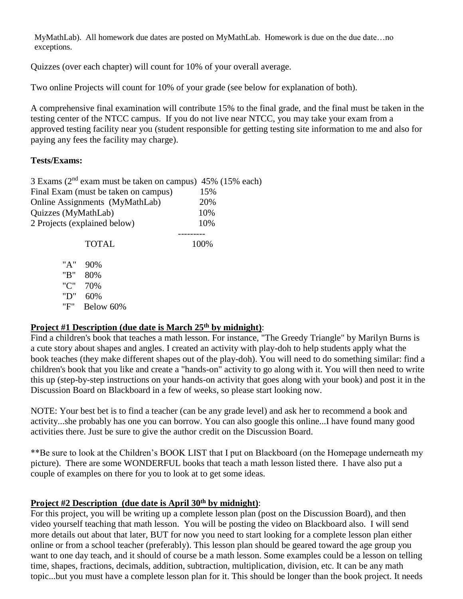MyMathLab). All homework due dates are posted on MyMathLab. Homework is due on the due date…no exceptions.

Quizzes (over each chapter) will count for 10% of your overall average.

Two online Projects will count for 10% of your grade (see below for explanation of both).

A comprehensive final examination will contribute 15% to the final grade, and the final must be taken in the testing center of the NTCC campus. If you do not live near NTCC, you may take your exam from a approved testing facility near you (student responsible for getting testing site information to me and also for paying any fees the facility may charge).

### **Tests/Exams:**

|                              | 3 Exams ( $2nd$ exam must be taken on campus) 45% (15% each) |      |
|------------------------------|--------------------------------------------------------------|------|
|                              | Final Exam (must be taken on campus)                         | 15%  |
|                              | Online Assignments (MyMathLab)                               | 20%  |
| Quizzes (MyMathLab)          |                                                              | 10%  |
| 2 Projects (explained below) | 10%                                                          |      |
|                              |                                                              |      |
|                              | <b>TOTAL</b>                                                 | 100% |
| "A"                          | 90%                                                          |      |
|                              |                                                              |      |
| "B"                          | 80%                                                          |      |
| "C"                          | 70%                                                          |      |

"D" 60%

"F" Below 60%

## **Project #1 Description (due date is March 25th by midnight)**:

Find a children's book that teaches a math lesson. For instance, "The Greedy Triangle" by Marilyn Burns is a cute story about shapes and angles. I created an activity with play-doh to help students apply what the book teaches (they make different shapes out of the play-doh). You will need to do something similar: find a children's book that you like and create a "hands-on" activity to go along with it. You will then need to write this up (step-by-step instructions on your hands-on activity that goes along with your book) and post it in the Discussion Board on Blackboard in a few of weeks, so please start looking now.

NOTE: Your best bet is to find a teacher (can be any grade level) and ask her to recommend a book and activity...she probably has one you can borrow. You can also google this online...I have found many good activities there. Just be sure to give the author credit on the Discussion Board.

\*\*Be sure to look at the Children's BOOK LIST that I put on Blackboard (on the Homepage underneath my picture). There are some WONDERFUL books that teach a math lesson listed there. I have also put a couple of examples on there for you to look at to get some ideas.

## **Project #2 Description (due date is April 30th by midnight)**:

For this project, you will be writing up a complete lesson plan (post on the Discussion Board), and then video yourself teaching that math lesson. You will be posting the video on Blackboard also. I will send more details out about that later, BUT for now you need to start looking for a complete lesson plan either online or from a school teacher (preferably). This lesson plan should be geared toward the age group you want to one day teach, and it should of course be a math lesson. Some examples could be a lesson on telling time, shapes, fractions, decimals, addition, subtraction, multiplication, division, etc. It can be any math topic...but you must have a complete lesson plan for it. This should be longer than the book project. It needs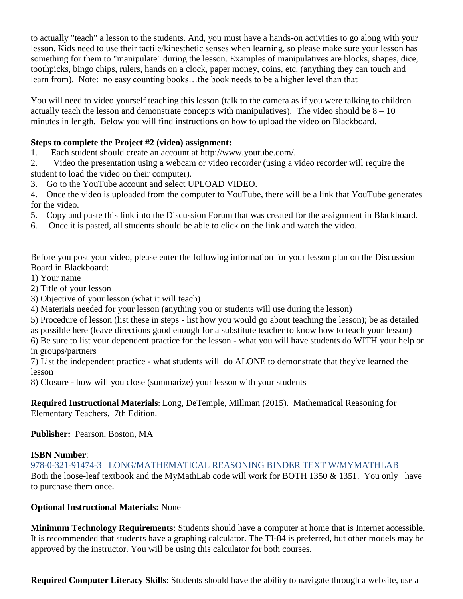to actually "teach" a lesson to the students. And, you must have a hands-on activities to go along with your lesson. Kids need to use their tactile/kinesthetic senses when learning, so please make sure your lesson has something for them to "manipulate" during the lesson. Examples of manipulatives are blocks, shapes, dice, toothpicks, bingo chips, rulers, hands on a clock, paper money, coins, etc. (anything they can touch and learn from). Note: no easy counting books…the book needs to be a higher level than that

You will need to video yourself teaching this lesson (talk to the camera as if you were talking to children – actually teach the lesson and demonstrate concepts with manipulatives). The video should be  $8 - 10$ minutes in length. Below you will find instructions on how to upload the video on Blackboard.

### **Steps to complete the Project #2 (video) assignment:**

1. Each student should create an account at http://www.youtube.com/.

2. Video the presentation using a webcam or video recorder (using a video recorder will require the student to load the video on their computer).

3. Go to the YouTube account and select UPLOAD VIDEO.

4. Once the video is uploaded from the computer to YouTube, there will be a link that YouTube generates for the video.

- 5. Copy and paste this link into the Discussion Forum that was created for the assignment in Blackboard.
- 6. Once it is pasted, all students should be able to click on the link and watch the video.

Before you post your video, please enter the following information for your lesson plan on the Discussion Board in Blackboard:

1) Your name

- 2) Title of your lesson
- 3) Objective of your lesson (what it will teach)
- 4) Materials needed for your lesson (anything you or students will use during the lesson)

5) Procedure of lesson (list these in steps - list how you would go about teaching the lesson); be as detailed

as possible here (leave directions good enough for a substitute teacher to know how to teach your lesson)

6) Be sure to list your dependent practice for the lesson - what you will have students do WITH your help or in groups/partners

7) List the independent practice - what students will do ALONE to demonstrate that they've learned the lesson

8) Closure - how will you close (summarize) your lesson with your students

**Required Instructional Materials**: Long, DeTemple, Millman (2015). Mathematical Reasoning for Elementary Teachers, 7th Edition.

### **Publisher:** Pearson, Boston, MA

### **ISBN Number**:

978-0-321-91474-3 LONG/MATHEMATICAL REASONING BINDER TEXT W/MYMATHLAB Both the loose-leaf textbook and the MyMathLab code will work for BOTH 1350 & 1351. You only have to purchase them once.

### **Optional Instructional Materials:** None

**Minimum Technology Requirements**: Students should have a computer at home that is Internet accessible. It is recommended that students have a graphing calculator. The TI-84 is preferred, but other models may be approved by the instructor. You will be using this calculator for both courses.

**Required Computer Literacy Skills**: Students should have the ability to navigate through a website, use a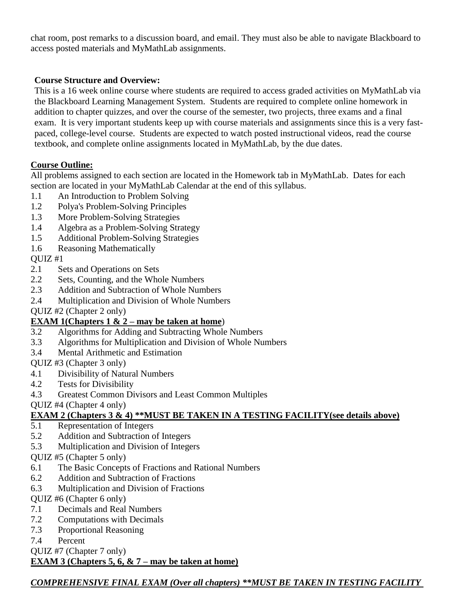chat room, post remarks to a discussion board, and email. They must also be able to navigate Blackboard to access posted materials and MyMathLab assignments.

### **Course Structure and Overview:**

This is a 16 week online course where students are required to access graded activities on MyMathLab via the Blackboard Learning Management System. Students are required to complete online homework in addition to chapter quizzes, and over the course of the semester, two projects, three exams and a final exam. It is very important students keep up with course materials and assignments since this is a very fastpaced, college-level course. Students are expected to watch posted instructional videos, read the course textbook, and complete online assignments located in MyMathLab, by the due dates.

## **Course Outline:**

All problems assigned to each section are located in the Homework tab in MyMathLab. Dates for each section are located in your MyMathLab Calendar at the end of this syllabus.

- 1.1 An Introduction to Problem Solving
- 1.2 Polya's Problem-Solving Principles
- 1.3 More Problem-Solving Strategies
- 1.4 Algebra as a Problem-Solving Strategy
- 1.5 Additional Problem-Solving Strategies
- 1.6 Reasoning Mathematically

## QUIZ #1

- 2.1 Sets and Operations on Sets
- 2.2 Sets, Counting, and the Whole Numbers
- 2.3 Addition and Subtraction of Whole Numbers
- 2.4 Multiplication and Division of Whole Numbers

QUIZ #2 (Chapter 2 only)

## **EXAM 1(Chapters 1 & 2 – may be taken at home**)

- 3.2 Algorithms for Adding and Subtracting Whole Numbers
- 3.3 Algorithms for Multiplication and Division of Whole Numbers
- 3.4 Mental Arithmetic and Estimation

### QUIZ #3 (Chapter 3 only)

- 4.1 Divisibility of Natural Numbers
- 4.2 Tests for Divisibility
- 4.3 Greatest Common Divisors and Least Common Multiples

QUIZ #4 (Chapter 4 only)

## **EXAM 2 (Chapters 3 & 4) \*\*MUST BE TAKEN IN A TESTING FACILITY(see details above)**

- 5.1 Representation of Integers
- 5.2 Addition and Subtraction of Integers
- 5.3 Multiplication and Division of Integers

QUIZ #5 (Chapter 5 only)

- 6.1 The Basic Concepts of Fractions and Rational Numbers
- 6.2 Addition and Subtraction of Fractions
- 6.3 Multiplication and Division of Fractions

QUIZ #6 (Chapter 6 only)

- 7.1 Decimals and Real Numbers
- 7.2 Computations with Decimals
- 7.3 Proportional Reasoning
- 7.4 Percent

QUIZ #7 (Chapter 7 only)

**EXAM 3 (Chapters 5, 6, & 7 – may be taken at home)**

*COMPREHENSIVE FINAL EXAM (Over all chapters) \*\*MUST BE TAKEN IN TESTING FACILITY*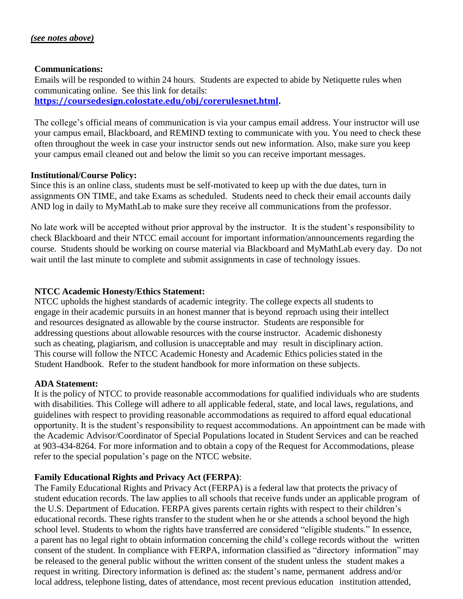#### **Communications:**

Emails will be responded to within 24 hours. Students are expected to abide by Netiquette rules when communicating online. See this link for details: **[https://coursedesign.colostate.edu/obj/corerulesnet.html.](https://coursedesign.colostate.edu/obj/corerulesnet.html)**

The college's official means of communication is via your campus email address. Your instructor will use your campus email, Blackboard, and REMIND texting to communicate with you. You need to check these often throughout the week in case your instructor sends out new information. Also, make sure you keep your campus email cleaned out and below the limit so you can receive important messages.

### **Institutional/Course Policy:**

Since this is an online class, students must be self-motivated to keep up with the due dates, turn in assignments ON TIME, and take Exams as scheduled. Students need to check their email accounts daily AND log in daily to MyMathLab to make sure they receive all communications from the professor.

No late work will be accepted without prior approval by the instructor. It is the student's responsibility to check Blackboard and their NTCC email account for important information/announcements regarding the course. Students should be working on course material via Blackboard and MyMathLab every day. Do not wait until the last minute to complete and submit assignments in case of technology issues.

### **NTCC Academic Honesty/Ethics Statement:**

NTCC upholds the highest standards of academic integrity. The college expects all students to engage in their academic pursuits in an honest manner that is beyond reproach using their intellect and resources designated as allowable by the course instructor. Students are responsible for addressing questions about allowable resources with the course instructor. Academic dishonesty such as cheating, plagiarism, and collusion is unacceptable and may result in disciplinary action. This course will follow the NTCC Academic Honesty and Academic Ethics policies stated in the Student Handbook. Refer to the student handbook for more information on these subjects.

### **ADA Statement:**

It is the policy of NTCC to provide reasonable accommodations for qualified individuals who are students with disabilities. This College will adhere to all applicable federal, state, and local laws, regulations, and guidelines with respect to providing reasonable accommodations as required to afford equal educational opportunity. It is the student's responsibility to request accommodations. An appointment can be made with the Academic Advisor/Coordinator of Special Populations located in Student Services and can be reached at 903-434-8264. For more information and to obtain a copy of the Request for Accommodations, please refer to the special population's page on the NTCC websit[e.](http://www.ntcc.edu/index.php?module=Pagesetter&func=viewpub&tid=111&pid=1) 

### **Family Educational Rights and Privacy Act (FERPA)**:

The Family Educational Rights and Privacy Act (FERPA) is a federal law that protects the privacy of student education records. The law applies to all schools that receive funds under an applicable program of the U.S. Department of Education. FERPA gives parents certain rights with respect to their children's educational records. These rights transfer to the student when he or she attends a school beyond the high school level. Students to whom the rights have transferred are considered "eligible students." In essence, a parent has no legal right to obtain information concerning the child's college records without the written consent of the student. In compliance with FERPA, information classified as "directory information" may be released to the general public without the written consent of the student unless the student makes a request in writing. Directory information is defined as: the student's name, permanent address and/or local address, telephone listing, dates of attendance, most recent previous education institution attended,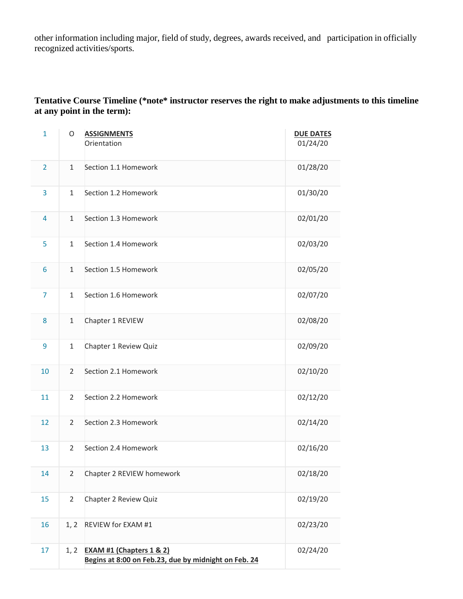other information including major, field of study, degrees, awards received, and participation in officially recognized activities/sports.

### **Tentative Course Timeline (\*note\* instructor reserves the right to make adjustments to this timeline at any point in the term):**

| $\mathbf{1}$   | O              | <b>ASSIGNMENTS</b><br>Orientation                                                           | <b>DUE DATES</b><br>01/24/20 |
|----------------|----------------|---------------------------------------------------------------------------------------------|------------------------------|
| $\overline{2}$ | $\mathbf{1}$   | Section 1.1 Homework                                                                        | 01/28/20                     |
| 3              | $\mathbf{1}$   | Section 1.2 Homework                                                                        | 01/30/20                     |
| $\overline{4}$ | $\mathbf{1}$   | Section 1.3 Homework                                                                        | 02/01/20                     |
| 5              | $\mathbf{1}$   | Section 1.4 Homework                                                                        | 02/03/20                     |
| 6              | $\mathbf{1}$   | Section 1.5 Homework                                                                        | 02/05/20                     |
| $\overline{7}$ | $\mathbf{1}$   | Section 1.6 Homework                                                                        | 02/07/20                     |
| 8              | $\mathbf{1}$   | Chapter 1 REVIEW                                                                            | 02/08/20                     |
| 9              | $\mathbf{1}$   | Chapter 1 Review Quiz                                                                       | 02/09/20                     |
| 10             | $\overline{2}$ | Section 2.1 Homework                                                                        | 02/10/20                     |
| 11             | $\overline{2}$ | Section 2.2 Homework                                                                        | 02/12/20                     |
| 12             | $\overline{2}$ | Section 2.3 Homework                                                                        | 02/14/20                     |
| 13             | $\overline{2}$ | Section 2.4 Homework                                                                        | 02/16/20                     |
| 14             | $\overline{2}$ | Chapter 2 REVIEW homework                                                                   | 02/18/20                     |
| 15             | $\overline{2}$ | Chapter 2 Review Quiz                                                                       | 02/19/20                     |
| 16             | 1, 2           | REVIEW for EXAM #1                                                                          | 02/23/20                     |
| 17             | 1, 2           | <b>EXAM #1 (Chapters 1 &amp; 2)</b><br>Begins at 8:00 on Feb.23, due by midnight on Feb. 24 | 02/24/20                     |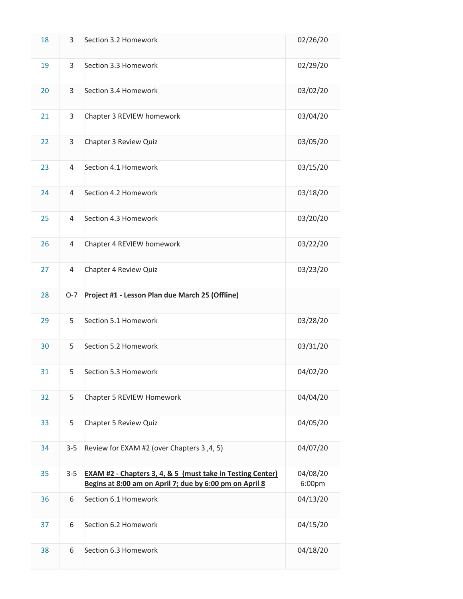| 18 | 3              | Section 3.2 Homework                                                                                                             | 02/26/20           |
|----|----------------|----------------------------------------------------------------------------------------------------------------------------------|--------------------|
| 19 | 3              | Section 3.3 Homework                                                                                                             | 02/29/20           |
| 20 | $\overline{3}$ | Section 3.4 Homework                                                                                                             | 03/02/20           |
| 21 | 3              | Chapter 3 REVIEW homework                                                                                                        | 03/04/20           |
| 22 | 3              | Chapter 3 Review Quiz                                                                                                            | 03/05/20           |
| 23 | 4              | Section 4.1 Homework                                                                                                             | 03/15/20           |
| 24 | 4              | Section 4.2 Homework                                                                                                             | 03/18/20           |
| 25 | $\overline{4}$ | Section 4.3 Homework                                                                                                             | 03/20/20           |
| 26 | 4              | Chapter 4 REVIEW homework                                                                                                        | 03/22/20           |
| 27 | 4              | Chapter 4 Review Quiz                                                                                                            | 03/23/20           |
| 28 | $O-7$          | Project #1 - Lesson Plan due March 25 (Offline)                                                                                  |                    |
| 29 | 5              | Section 5.1 Homework                                                                                                             | 03/28/20           |
| 30 | 5              | Section 5.2 Homework                                                                                                             | 03/31/20           |
| 31 | 5              | Section 5.3 Homework                                                                                                             | 04/02/20           |
| 32 | 5              | Chapter 5 REVIEW Homework                                                                                                        | 04/04/20           |
| 33 | 5              | Chapter 5 Review Quiz                                                                                                            | 04/05/20           |
| 34 | $3 - 5$        | Review for EXAM #2 (over Chapters 3, 4, 5)                                                                                       | 04/07/20           |
| 35 | $3 - 5$        | <b>EXAM #2 - Chapters 3, 4, &amp; 5 (must take in Testing Center)</b><br>Begins at 8:00 am on April 7; due by 6:00 pm on April 8 | 04/08/20<br>6:00pm |
| 36 | 6              | Section 6.1 Homework                                                                                                             | 04/13/20           |
| 37 | 6              | Section 6.2 Homework                                                                                                             | 04/15/20           |
| 38 | 6              | Section 6.3 Homework                                                                                                             | 04/18/20           |